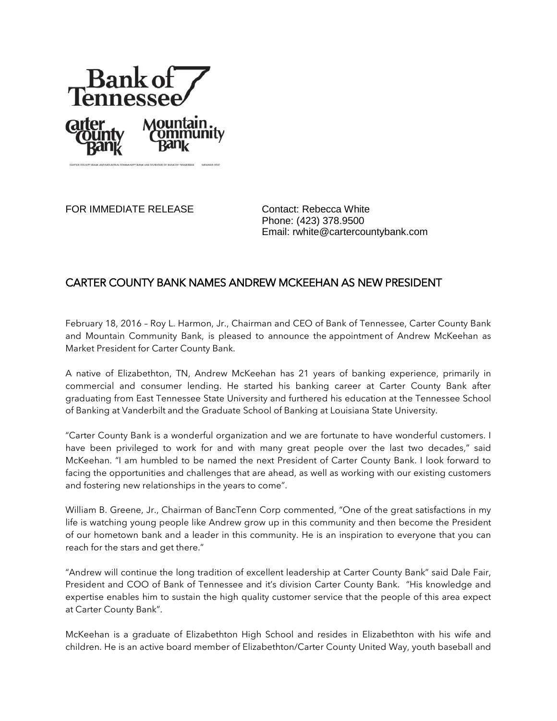

FOR IMMEDIATE RELEASE Contact: Rebecca White

Phone: (423) 378.9500 Email: rwhite@cartercountybank.com

## CARTER COUNTY BANK NAMES ANDREW MCKEEHAN AS NEW PRESIDENT

February 18, 2016 – Roy L. Harmon, Jr., Chairman and CEO of Bank of Tennessee, Carter County Bank and Mountain Community Bank, is pleased to announce the appointment of Andrew McKeehan as Market President for Carter County Bank.

A native of Elizabethton, TN, Andrew McKeehan has 21 years of banking experience, primarily in commercial and consumer lending. He started his banking career at Carter County Bank after graduating from East Tennessee State University and furthered his education at the Tennessee School of Banking at Vanderbilt and the Graduate School of Banking at Louisiana State University.

"Carter County Bank is a wonderful organization and we are fortunate to have wonderful customers. I have been privileged to work for and with many great people over the last two decades," said McKeehan. "I am humbled to be named the next President of Carter County Bank. I look forward to facing the opportunities and challenges that are ahead, as well as working with our existing customers and fostering new relationships in the years to come".

William B. Greene, Jr., Chairman of BancTenn Corp commented, "One of the great satisfactions in my life is watching young people like Andrew grow up in this community and then become the President of our hometown bank and a leader in this community. He is an inspiration to everyone that you can reach for the stars and get there."

"Andrew will continue the long tradition of excellent leadership at Carter County Bank" said Dale Fair, President and COO of Bank of Tennessee and it's division Carter County Bank. "His knowledge and expertise enables him to sustain the high quality customer service that the people of this area expect at Carter County Bank".

McKeehan is a graduate of Elizabethton High School and resides in Elizabethton with his wife and children. He is an active board member of Elizabethton/Carter County United Way, youth baseball and